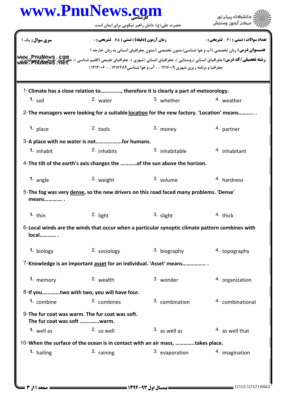|                             | www.PnuNews.com                                    |                                                                                                                                                                                                                                                                                                                            | دانشگاه پیام نور                      |
|-----------------------------|----------------------------------------------------|----------------------------------------------------------------------------------------------------------------------------------------------------------------------------------------------------------------------------------------------------------------------------------------------------------------------------|---------------------------------------|
|                             |                                                    | حضرت علی(ع): دانش راهبر نیکویی برای ایمان است                                                                                                                                                                                                                                                                              | مركز آزمون وسنجش                      |
| <b>سری سوال :</b> یک ۱      | <b>زمان آزمون (دقیقه) : تستی : 75 ٪ تشریحی : 0</b> |                                                                                                                                                                                                                                                                                                                            | تعداد سوالات : تستي : 30 ٪ تشريحي : 0 |
|                             |                                                    | عنـــوان درس: زبان تخصصی (آب و هوا شناسی)،متون تخصصی ۱،متون جغرافیای انسانی به زبان خارجه ۱                                                                                                                                                                                                                                |                                       |
|                             |                                                    | <b>رشته تحصیلی/کد درس:</b> جغرافیای انسانی (روستایی )، جغرافیای انسانی (شهری )، جغرافیای طبیعی (اقلیم شناسی )، جغرافیای طبیعی (تومورفولوژی<br><b>رشته تحصیلی/کد درس:</b> جغرافیای انسانی (روستایی )، جغرافیای انسانی (شهری )، جغرافیای طبیع<br>جغرافیا و برنامه ریزی شهری ۱۲۱۶۰۰۹ - ، آب و هوا شناسی ۱۲۱۶۴۸۹ ، - ۱۲۱۲۰۰۶ ( |                                       |
|                             |                                                    | 1-Climate has a close relation to , therefore it is clearly a part of meteorology.                                                                                                                                                                                                                                         |                                       |
| $1.$ soil                   | 2. water                                           | 3. whether                                                                                                                                                                                                                                                                                                                 | 4. weather                            |
|                             |                                                    | 2- The managers were looking for a suitable location for the new factory. 'Location' means                                                                                                                                                                                                                                 |                                       |
| $1.$ place                  | $2.$ tools                                         | 3. money                                                                                                                                                                                                                                                                                                                   | 4. partner                            |
|                             | 3-A place with no water is notfor humans.          |                                                                                                                                                                                                                                                                                                                            |                                       |
| 1. inhabit                  | <sup>2.</sup> inhabits                             | 3. inhabitable                                                                                                                                                                                                                                                                                                             | <sup>4</sup> inhabitant               |
|                             |                                                    | 4-The tilt of the earth's axis changes the of the sun above the horizon.                                                                                                                                                                                                                                                   |                                       |
| 1. angle                    | 2. weight                                          | 3. volume                                                                                                                                                                                                                                                                                                                  | 4. hardness                           |
| means                       |                                                    | 5-The fog was very dense, so the new drivers on this road faced many problems. 'Dense'                                                                                                                                                                                                                                     |                                       |
| 1. thin                     | 2. light                                           | 3. slight                                                                                                                                                                                                                                                                                                                  | 4. thick                              |
| local                       |                                                    | 6-Local winds are the winds that occur when a particular synoptic climate pattern combines with                                                                                                                                                                                                                            |                                       |
| 1. biology                  | 2. sociology                                       | 3. biography                                                                                                                                                                                                                                                                                                               | 4. topography                         |
|                             |                                                    | 7-Knowledge is an important asset for an individual. 'Asset' means                                                                                                                                                                                                                                                         |                                       |
| 1. memory                   | 2. wealth                                          | 3. wonder                                                                                                                                                                                                                                                                                                                  | 4. organization                       |
|                             | 8-If youtwo with two, you will have four.          |                                                                                                                                                                                                                                                                                                                            |                                       |
| 1. combine                  | 2. combines                                        | 3. combination                                                                                                                                                                                                                                                                                                             | 4. combinational                      |
| The fur coat was soft warm. | 9-The fur coat was warm. The fur coat was soft.    |                                                                                                                                                                                                                                                                                                                            |                                       |
| $1.$ well as                | $2.50$ well                                        | $3.$ as well as                                                                                                                                                                                                                                                                                                            | $4.$ as well that                     |
|                             |                                                    | 10-When the surface of the ocean is in contact with an air mass, takes place.                                                                                                                                                                                                                                              |                                       |
| 1. hailing                  | 2. raining                                         | 3. evaporation                                                                                                                                                                                                                                                                                                             | 4. imagination                        |
|                             |                                                    |                                                                                                                                                                                                                                                                                                                            |                                       |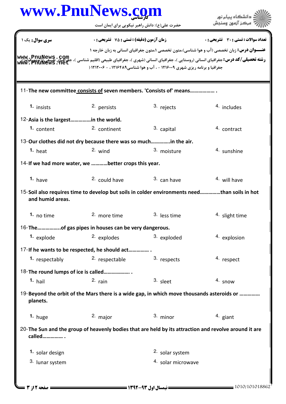## كارشناسي **[www.PnuNews.com](http://www.PnuNews.com)**

| www.PnuNews.                        | حضرت علی(ع): دانش راهبر نیکویی برای ایمان است                                                |                                                                             | دانشگاه پیام نور                                                                                                                                                                                                                             |
|-------------------------------------|----------------------------------------------------------------------------------------------|-----------------------------------------------------------------------------|----------------------------------------------------------------------------------------------------------------------------------------------------------------------------------------------------------------------------------------------|
| <b>سری سوال :</b> یک ۱              | <b>زمان آزمون (دقیقه) : تستی : 75 ٪ تشریحی : 0</b>                                           |                                                                             | تعداد سوالات : تستي : 30 ٪ تشريحي : 0                                                                                                                                                                                                        |
|                                     |                                                                                              |                                                                             | <b>عنـــوان درس:</b> زبان تخصصي (آب و هوا شناسي)،متون تخصصي ۱،متون جغرافياي انساني به زبان خارجه ۱                                                                                                                                           |
|                                     |                                                                                              | جغرافیا و برنامه ریزی شهری ۱۲۱۶۰۰۹ - ، آب و هوا شناسی ۱۲۱۶۴۸۹ ، - ۱۲۱۲۰۰۶ ( | <b>رشته تحصیلی/کد درس:</b> جغرافیای انسانی (روستایی )، جغرافیای انسانی (شهری )، جغرافیای طبیعی (اقلیم شناسی )، جغرافیای طبیعی (آنومودفولوژی<br><b>رشته تحصیلی/کد درس:</b> جغرافیای انسانی (روستایی )، جغرافیای انسانی (شهری )، جغرافیای طبیع |
|                                     | 11-The new committee consists of seven members. 'Consists of' means                          |                                                                             |                                                                                                                                                                                                                                              |
| 1. insists                          | 2. persists                                                                                  | 3. rejects                                                                  | 4. includes                                                                                                                                                                                                                                  |
| 12-Asia is the largestin the world. |                                                                                              |                                                                             |                                                                                                                                                                                                                                              |
| 1. content                          | 2. continent                                                                                 | 3. capital                                                                  | 4. contract                                                                                                                                                                                                                                  |
|                                     | 13-Our clothes did not dry because there was so much in the air.                             |                                                                             |                                                                                                                                                                                                                                              |
| $1.$ heat                           | $2.$ wind                                                                                    | 3. moisture                                                                 | <sup>4.</sup> sunshine                                                                                                                                                                                                                       |
|                                     | 14-If we had more water, we better crops this year.                                          |                                                                             |                                                                                                                                                                                                                                              |
| 1. have                             | 2. could have                                                                                | 3. can have                                                                 | 4. will have                                                                                                                                                                                                                                 |
| and humid areas.                    | 15-Soil also requires time to develop but soils in colder environments needthan soils in hot |                                                                             |                                                                                                                                                                                                                                              |
| 1. no time                          | <sup>2.</sup> more time                                                                      | <sup>3.</sup> less time                                                     | 4. slight time                                                                                                                                                                                                                               |
|                                     | 16-Theof gas pipes in houses can be very dangerous.                                          |                                                                             |                                                                                                                                                                                                                                              |
| 1. explode                          | 2. explodes                                                                                  | 3. exploded                                                                 | 4. explosion                                                                                                                                                                                                                                 |
|                                     | 17-If he wants to be respected, he should act                                                |                                                                             |                                                                                                                                                                                                                                              |
| 1. respectably                      | 2. respectable                                                                               | 3. respects                                                                 | 4. respect                                                                                                                                                                                                                                   |
| 18-The round lumps of ice is called |                                                                                              |                                                                             |                                                                                                                                                                                                                                              |
| $1.$ hail                           | $2.$ rain                                                                                    | 3. sleet                                                                    | 4. snow                                                                                                                                                                                                                                      |
| planets.                            | 19-Beyond the orbit of the Mars there is a wide gap, in which move thousands asteroids or    |                                                                             |                                                                                                                                                                                                                                              |
| 1. huge                             | 2. major                                                                                     | $3.$ minor                                                                  | 4. giant                                                                                                                                                                                                                                     |
| called                              |                                                                                              |                                                                             | 20-The Sun and the group of heavenly bodies that are held by its attraction and revolve around it are                                                                                                                                        |
| <sup>1.</sup> solar design          |                                                                                              | 2. solar system                                                             |                                                                                                                                                                                                                                              |
| 3. lunar system                     |                                                                                              | 4. solar microwave                                                          |                                                                                                                                                                                                                                              |
|                                     |                                                                                              |                                                                             |                                                                                                                                                                                                                                              |